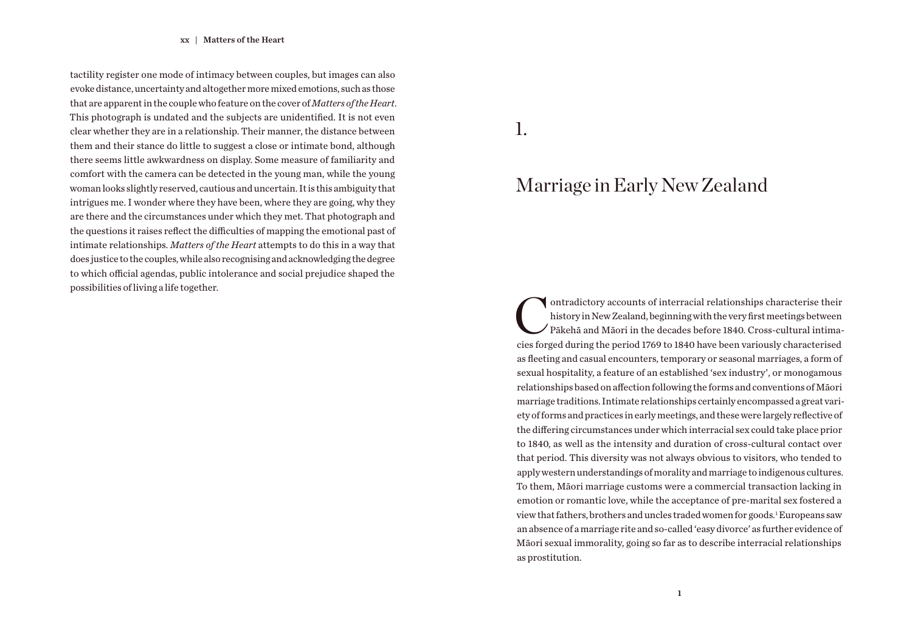1.

## Marriage in Early New Zealand

Ontradictory accounts of interracial relationships characterise their<br>history in New Zealand, beginning with the very first meetings between<br>Pākehā and Māori in the decades before 1840. Cross-cultural intimahistory in New Zealand, beginning with the very first meetings between  $^\prime$ Pākehā and Māori in the decades before 1840. Cross-cultural intimacies forged during the period 1769 to 1840 have been variously characterised as fleeting and casual encounters, temporary or seasonal marriages, a form of sexual hospitality, a feature of an established 'sex industry', or monogamous relationships based on affection following the forms and conventions of Māori marriage traditions. Intimate relationships certainly encompassed a great variety of forms and practices in early meetings, and these were largely reflective of the differing circumstances under which interracial sex could take place prior to 1840, as well as the intensity and duration of cross-cultural contact over that period. This diversity was not always obvious to visitors, who tended to apply western understandings of morality and marriage to indigenous cultures. To them, Māori marriage customs were a commercial transaction lacking in emotion or romantic love, while the acceptance of pre-marital sex fostered a view that fathers, brothers and uncles traded women for goods.<sup>1</sup> Europeans saw an absence of a marriage rite and so-called 'easy divorce' as further evidence of Māori sexual immorality, going so far as to describe interracial relationships as prostitution.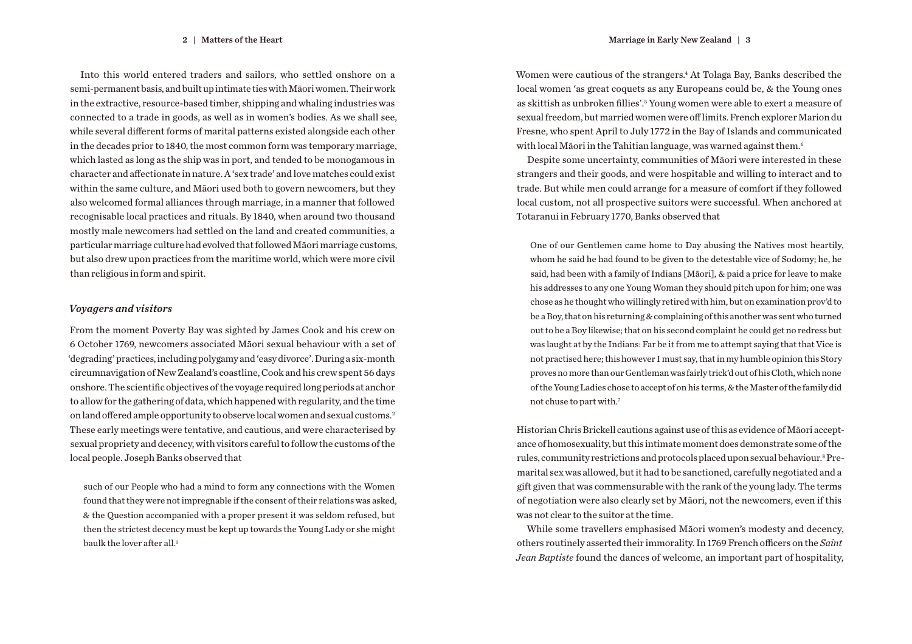2 | Matters of the Heart Marriage in Early New Zealand | 3

Into this world entered traders and sailors, who settled onshore on a semi-permanent basis, and built up intimate ties with Māori women. Their work in the extractive, resource-based timber, shipping and whaling industries was connected to a trade in goods, as well as in women's bodies. As we shall see, while several different forms of marital patterns existed alongside each other in the decades prior to 1840, the most common form was temporary marriage, which lasted as long as the ship was in port, and tended to be monogamous in character and affectionate in nature. A 'sex trade' and love matches could exist within the same culture, and Māori used both to govern newcomers, but they also welcomed formal alliances through marriage, in a manner that followed recognisable local practices and rituals. By 1840, when around two thousand mostly male newcomers had settled on the land and created communities, a particular marriage culture had evolved that followed Māori marriage customs, but also drew upon practices from the maritime world, which were more civil than religious in form and spirit.

## *Voyagers and visitors*

From the moment Poverty Bay was sighted by James Cook and his crew on 6 October 1769, newcomers associated Māori sexual behaviour with a set of 'degrading' practices, including polygamy and 'easy divorce'. During a six-month circumnavigation of New Zealand's coastline, Cook and his crew spent 56 days onshore. The scientific objectives of the voyage required long periods at anchor to allow for the gathering of data, which happened with regularity, and the time on land offered ample opportunity to observe local women and sexual customs.2 These early meetings were tentative, and cautious, and were characterised by sexual propriety and decency, with visitors careful to follow the customs of the local people. Joseph Banks observed that

such of our People who had a mind to form any connections with the Women found that they were not impregnable if the consent of their relations was asked, & the Question accompanied with a proper present it was seldom refused, but then the strictest decency must be kept up towards the Young Lady or she might baulk the lover after all.3

Women were cautious of the strangers.4 At Tolaga Bay, Banks described the local women 'as great coquets as any Europeans could be, & the Young ones as skittish as unbroken fillies'.5 Young women were able to exert a measure of sexual freedom, but married women were off limits. French explorer Marion du Fresne, who spent April to July 1772 in the Bay of Islands and communicated with local Māori in the Tahitian language, was warned against them.<sup>6</sup>

Despite some uncertainty, communities of Māori were interested in these strangers and their goods, and were hospitable and willing to interact and to trade. But while men could arrange for a measure of comfort if they followed local custom, not all prospective suitors were successful. When anchored at Totaranui in February 1770, Banks observed that

One of our Gentlemen came home to Day abusing the Natives most heartily, whom he said he had found to be given to the detestable vice of Sodomy; he, he said, had been with a family of Indians [Māori], & paid a price for leave to make his addresses to any one Young Woman they should pitch upon for him; one was chose as he thought who willingly retired with him, but on examination prov'd to be a Boy, that on his returning & complaining of this another was sent who turned out to be a Boy likewise; that on his second complaint he could get no redress but was laught at by the Indians: Far be it from me to attempt saying that that Vice is not practised here; this however I must say, that in my humble opinion this Story proves no more than our Gentleman was fairly trick'd out of his Cloth, which none of the Young Ladies chose to accept of on his terms, & the Master of the family did not chuse to part with.7

Historian Chris Brickell cautions against use of this as evidence of Māori acceptance of homosexuality, but this intimate moment does demonstrate some of the rules, community restrictions and protocols placed upon sexual behaviour.<sup>8</sup> Premarital sex was allowed, but it had to be sanctioned, carefully negotiated and a gift given that was commensurable with the rank of the young lady. The terms of negotiation were also clearly set by Māori, not the newcomers, even if this was not clear to the suitor at the time.

While some travellers emphasised Māori women's modesty and decency, others routinely asserted their immorality. In 1769 French officers on the *Saint Jean Baptiste* found the dances of welcome, an important part of hospitality,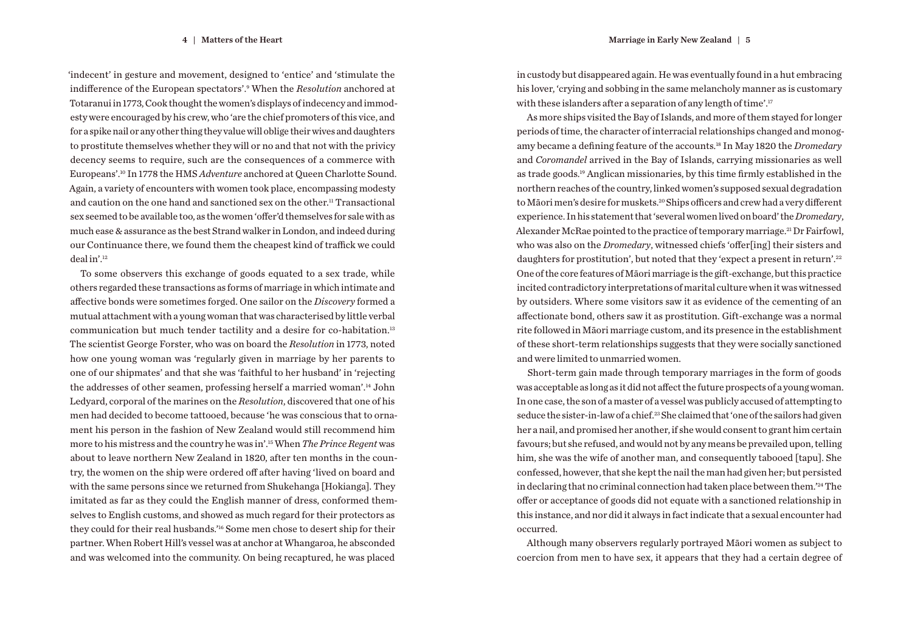'indecent' in gesture and movement, designed to 'entice' and 'stimulate the indifference of the European spectators'.9 When the *Resolution* anchored at Totaranui in 1773, Cook thought the women's displays of indecency and immodesty were encouraged by his crew, who 'are the chief promoters of this vice, and for a spike nail or any other thing they value will oblige their wives and daughters to prostitute themselves whether they will or no and that not with the privicy decency seems to require, such are the consequences of a commerce with Europeans'.10 In 1778 the HMS *Adventure* anchored at Queen Charlotte Sound. Again, a variety of encounters with women took place, encompassing modesty and caution on the one hand and sanctioned sex on the other.<sup>11</sup> Transactional sex seemed to be available too, as the women 'offer'd themselves for sale with as much ease & assurance as the best Strand walker in London, and indeed during our Continuance there, we found them the cheapest kind of traffick we could deal in'.12

To some observers this exchange of goods equated to a sex trade, while others regarded these transactions as forms of marriage in which intimate and affective bonds were sometimes forged. One sailor on the *Discovery* formed a mutual attachment with a young woman that was characterised by little verbal communication but much tender tactility and a desire for co-habitation.13 The scientist George Forster, who was on board the *Resolution* in 1773, noted how one young woman was 'regularly given in marriage by her parents to one of our shipmates' and that she was 'faithful to her husband' in 'rejecting the addresses of other seamen, professing herself a married woman'.14 John Ledyard, corporal of the marines on the *Resolution*, discovered that one of his men had decided to become tattooed, because 'he was conscious that to ornament his person in the fashion of New Zealand would still recommend him more to his mistress and the country he was in'.15 When *The Prince Regent* was about to leave northern New Zealand in 1820, after ten months in the country, the women on the ship were ordered off after having 'lived on board and with the same persons since we returned from Shukehanga [Hokianga]. They imitated as far as they could the English manner of dress, conformed themselves to English customs, and showed as much regard for their protectors as they could for their real husbands.'16 Some men chose to desert ship for their partner. When Robert Hill's vessel was at anchor at Whangaroa, he absconded and was welcomed into the community. On being recaptured, he was placed

in custody but disappeared again. He was eventually found in a hut embracing his lover, 'crying and sobbing in the same melancholy manner as is customary with these islanders after a separation of any length of time'.<sup>17</sup>

As more ships visited the Bay of Islands, and more of them stayed for longer periods of time, the character of interracial relationships changed and monogamy became a defining feature of the accounts.18 In May 1820 the *Dromedary* and *Coromandel* arrived in the Bay of Islands, carrying missionaries as well as trade goods.19 Anglican missionaries, by this time firmly established in the northern reaches of the country, linked women's supposed sexual degradation to Māori men's desire for muskets.<sup>20</sup> Ships officers and crew had a very different experience. In his statement that 'several women lived on board' the *Dromedary*, Alexander McRae pointed to the practice of temporary marriage.<sup>21</sup> Dr Fairfowl, who was also on the *Dromedary*, witnessed chiefs 'offer[ing] their sisters and daughters for prostitution', but noted that they 'expect a present in return'.<sup>22</sup> One of the core features of Māori marriage is the gift-exchange, but this practice incited contradictory interpretations of marital culture when it was witnessed by outsiders. Where some visitors saw it as evidence of the cementing of an affectionate bond, others saw it as prostitution. Gift-exchange was a normal rite followed in Māori marriage custom, and its presence in the establishment of these short-term relationships suggests that they were socially sanctioned and were limited to unmarried women.

Short-term gain made through temporary marriages in the form of goods was acceptable as long as it did not affect the future prospects of a young woman. In one case, the son of a master of a vessel was publicly accused of attempting to seduce the sister-in-law of a chief.<sup>23</sup> She claimed that 'one of the sailors had given her a nail, and promised her another, if she would consent to grant him certain favours; but she refused, and would not by any means be prevailed upon, telling him, she was the wife of another man, and consequently tabooed [tapu]. She confessed, however, that she kept the nail the man had given her; but persisted in declaring that no criminal connection had taken place between them.'24 The offer or acceptance of goods did not equate with a sanctioned relationship in this instance, and nor did it always in fact indicate that a sexual encounter had occurred.

Although many observers regularly portrayed Māori women as subject to coercion from men to have sex, it appears that they had a certain degree of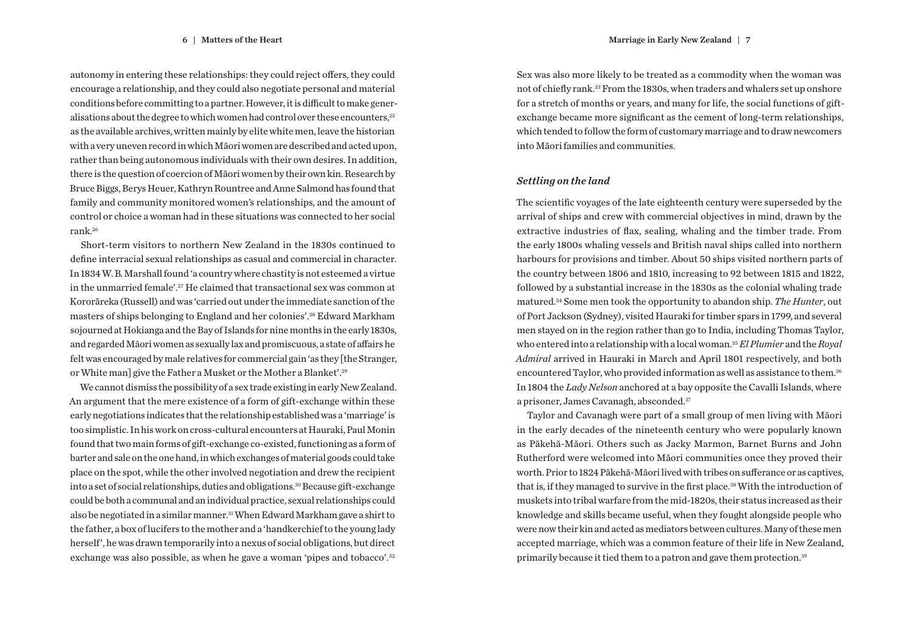autonomy in entering these relationships: they could reject offers, they could encourage a relationship, and they could also negotiate personal and material conditions before committing to a partner. However, it is difficult to make generalisations about the degree to which women had control over these encounters.<sup>25</sup> as the available archives, written mainly by elite white men, leave the historian with a very uneven record in which Māori women are described and acted upon, rather than being autonomous individuals with their own desires. In addition, there is the question of coercion of Māori women by their own kin. Research by Bruce Biggs, Berys Heuer, Kathryn Rountree and Anne Salmond has found that family and community monitored women's relationships, and the amount of control or choice a woman had in these situations was connected to her social rank.26

Short-term visitors to northern New Zealand in the 1830s continued to define interracial sexual relationships as casual and commercial in character. In 1834 W. B. Marshall found 'a country where chastity is not esteemed a virtue in the unmarried female'.27 He claimed that transactional sex was common at Kororāreka (Russell) and was 'carried out under the immediate sanction of the masters of ships belonging to England and her colonies'.28 Edward Markham sojourned at Hokianga and the Bay of Islands for nine months in the early 1830s, and regarded Māori women as sexually lax and promiscuous, a state of affairs he felt was encouraged by male relatives for commercial gain 'as they [the Stranger, or White man] give the Father a Musket or the Mother a Blanket'.29

We cannot dismiss the possibility of a sex trade existing in early New Zealand. An argument that the mere existence of a form of gift-exchange within these early negotiations indicates that the relationship established was a 'marriage' is too simplistic. In his work on cross-cultural encounters at Hauraki, Paul Monin found that two main forms of gift-exchange co-existed, functioning as a form of barter and sale on the one hand, in which exchanges of material goods could take place on the spot, while the other involved negotiation and drew the recipient into a set of social relationships, duties and obligations.<sup>30</sup> Because gift-exchange could be both a communal and an individual practice, sexual relationships could also be negotiated in a similar manner.<sup>31</sup> When Edward Markham gave a shirt to the father, a box of lucifers to the mother and a 'handkerchief to the young lady herself', he was drawn temporarily into a nexus of social obligations, but direct exchange was also possible, as when he gave a woman 'pipes and tobacco'.<sup>32</sup>

Sex was also more likely to be treated as a commodity when the woman was not of chiefly rank.33 From the 1830s, when traders and whalers set up onshore for a stretch of months or years, and many for life, the social functions of giftexchange became more significant as the cement of long-term relationships, which tended to follow the form of customary marriage and to draw newcomers into Māori families and communities.

## *Settling on the land*

The scientific voyages of the late eighteenth century were superseded by the arrival of ships and crew with commercial objectives in mind, drawn by the extractive industries of flax, sealing, whaling and the timber trade. From the early 1800s whaling vessels and British naval ships called into northern harbours for provisions and timber. About 50 ships visited northern parts of the country between 1806 and 1810, increasing to 92 between 1815 and 1822, followed by a substantial increase in the 1830s as the colonial whaling trade matured.34 Some men took the opportunity to abandon ship. *The Hunter*, out of Port Jackson (Sydney), visited Hauraki for timber spars in 1799, and several men stayed on in the region rather than go to India, including Thomas Taylor, who entered into a relationship with a local woman.35*El Plumier* and the *Royal Admiral* arrived in Hauraki in March and April 1801 respectively, and both encountered Taylor, who provided information as well as assistance to them.36 In 1804 the *Lady Nelson* anchored at a bay opposite the Cavalli Islands, where a prisoner, James Cavanagh, absconded.37

Taylor and Cavanagh were part of a small group of men living with Māori in the early decades of the nineteenth century who were popularly known as Pākehā-Māori. Others such as Jacky Marmon, Barnet Burns and John Rutherford were welcomed into Māori communities once they proved their worth. Prior to 1824 Pākehā-Māori lived with tribes on sufferance or as captives, that is, if they managed to survive in the first place.38 With the introduction of muskets into tribal warfare from the mid-1820s, their status increased as their knowledge and skills became useful, when they fought alongside people who were now their kin and acted as mediators between cultures. Many of these men accepted marriage, which was a common feature of their life in New Zealand, primarily because it tied them to a patron and gave them protection.39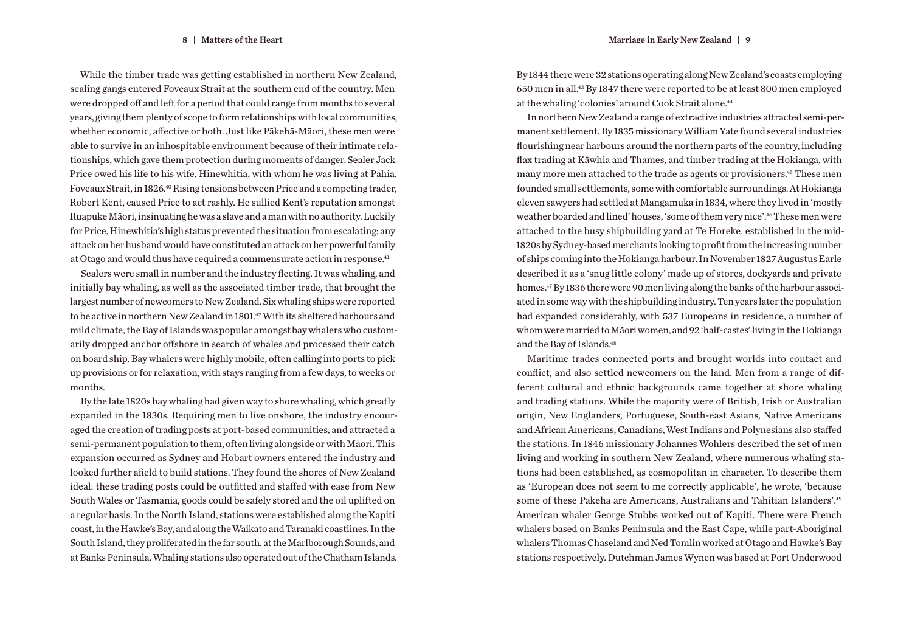While the timber trade was getting established in northern New Zealand, sealing gangs entered Foveaux Strait at the southern end of the country. Men were dropped off and left for a period that could range from months to several years, giving them plenty of scope to form relationships with local communities, whether economic, affective or both. Just like Pākehā-Māori, these men were able to survive in an inhospitable environment because of their intimate relationships, which gave them protection during moments of danger. Sealer Jack Price owed his life to his wife, Hinewhitia, with whom he was living at Pahia, Foveaux Strait, in 1826.40 Rising tensions between Price and a competing trader, Robert Kent, caused Price to act rashly. He sullied Kent's reputation amongst Ruapuke Māori, insinuating he was a slave and a man with no authority. Luckily for Price, Hinewhitia's high status prevented the situation from escalating: any attack on her husband would have constituted an attack on her powerful family at Otago and would thus have required a commensurate action in response.<sup>41</sup>

Sealers were small in number and the industry fleeting. It was whaling, and initially bay whaling, as well as the associated timber trade, that brought the largest number of newcomers to New Zealand. Six whaling ships were reported to be active in northern New Zealand in 1801.<sup>42</sup> With its sheltered harbours and mild climate, the Bay of Islands was popular amongst bay whalers who customarily dropped anchor offshore in search of whales and processed their catch on board ship. Bay whalers were highly mobile, often calling into ports to pick up provisions or for relaxation, with stays ranging from a few days, to weeks or months.

By the late 1820s bay whaling had given way to shore whaling, which greatly expanded in the 1830s. Requiring men to live onshore, the industry encouraged the creation of trading posts at port-based communities, and attracted a semi-permanent population to them, often living alongside or with Māori. This expansion occurred as Sydney and Hobart owners entered the industry and looked further afield to build stations. They found the shores of New Zealand ideal: these trading posts could be outfitted and staffed with ease from New South Wales or Tasmania, goods could be safely stored and the oil uplifted on a regular basis. In the North Island, stations were established along the Kapiti coast, in the Hawke's Bay, and along the Waikato and Taranaki coastlines. In the South Island, they proliferated in the far south, at the Marlborough Sounds, and at Banks Peninsula. Whaling stations also operated out of the Chatham Islands.

By 1844 there were 32 stations operating along New Zealand's coasts employing 650 men in all.43 By 1847 there were reported to be at least 800 men employed at the whaling 'colonies' around Cook Strait alone.<sup>44</sup>

In northern New Zealand a range of extractive industries attracted semi-permanent settlement. By 1835 missionary William Yate found several industries flourishing near harbours around the northern parts of the country, including flax trading at Kāwhia and Thames, and timber trading at the Hokianga, with many more men attached to the trade as agents or provisioners.45 These men founded small settlements, some with comfortable surroundings. At Hokianga eleven sawyers had settled at Mangamuka in 1834, where they lived in 'mostly weather boarded and lined' houses, 'some of them very nice'.46 These men were attached to the busy shipbuilding yard at Te Horeke, established in the mid-1820s by Sydney-based merchants looking to profit from the increasing number of ships coming into the Hokianga harbour. In November 1827 Augustus Earle described it as a 'snug little colony' made up of stores, dockyards and private homes.47 By 1836 there were 90 men living along the banks of the harbour associated in some way with the shipbuilding industry. Ten years later the population had expanded considerably, with 537 Europeans in residence, a number of whom were married to Māori women, and 92 'half-castes' living in the Hokianga and the Bay of Islands.48

Maritime trades connected ports and brought worlds into contact and conflict, and also settled newcomers on the land. Men from a range of different cultural and ethnic backgrounds came together at shore whaling and trading stations. While the majority were of British, Irish or Australian origin, New Englanders, Portuguese, South-east Asians, Native Americans and African Americans, Canadians, West Indians and Polynesians also staffed the stations. In 1846 missionary Johannes Wohlers described the set of men living and working in southern New Zealand, where numerous whaling stations had been established, as cosmopolitan in character. To describe them as 'European does not seem to me correctly applicable', he wrote, 'because some of these Pakeha are Americans, Australians and Tahitian Islanders'.49 American whaler George Stubbs worked out of Kapiti. There were French whalers based on Banks Peninsula and the East Cape, while part-Aboriginal whalers Thomas Chaseland and Ned Tomlin worked at Otago and Hawke's Bay stations respectively. Dutchman James Wynen was based at Port Underwood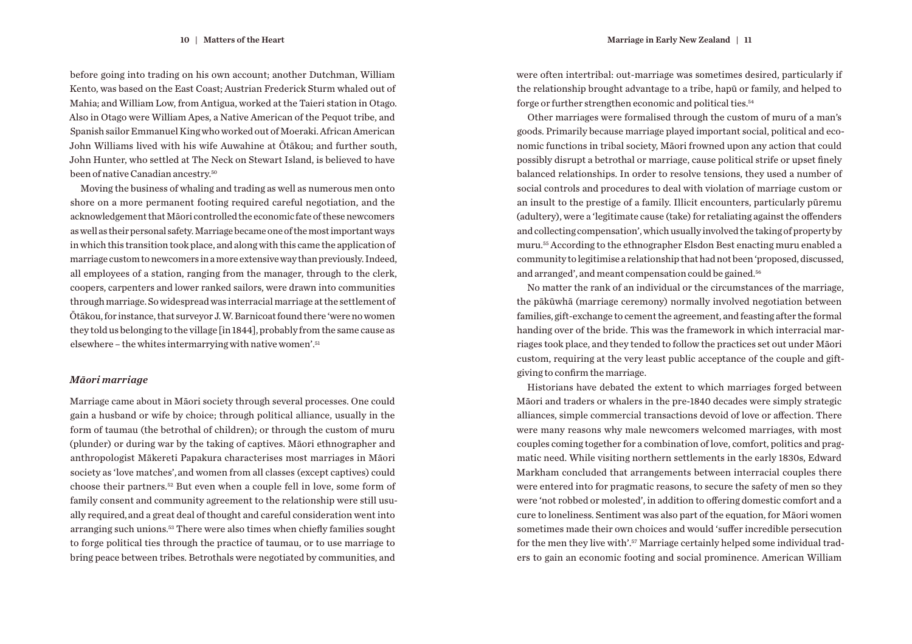before going into trading on his own account; another Dutchman, William Kento, was based on the East Coast; Austrian Frederick Sturm whaled out of Mahia; and William Low, from Antigua, worked at the Taieri station in Otago. Also in Otago were William Apes, a Native American of the Pequot tribe, and Spanish sailor Emmanuel King who worked out of Moeraki. African American John Williams lived with his wife Auwahine at Ōtākou; and further south, John Hunter, who settled at The Neck on Stewart Island, is believed to have been of native Canadian ancestry.<sup>50</sup>

Moving the business of whaling and trading as well as numerous men onto shore on a more permanent footing required careful negotiation, and the acknowledgement that Māori controlled the economic fate of these newcomers as well as their personal safety. Marriage became one of the most important ways in which this transition took place, and along with this came the application of marriage custom to newcomers in a more extensive way than previously. Indeed, all employees of a station, ranging from the manager, through to the clerk, coopers, carpenters and lower ranked sailors, were drawn into communities through marriage. So widespread was interracial marriage at the settlement of Ōtākou, for instance, that surveyor J. W. Barnicoat found there 'were no women they told us belonging to the village [in 1844], probably from the same cause as elsewhere – the whites intermarrying with native women'.51

## *Māori marriage*

Marriage came about in Māori society through several processes. One could gain a husband or wife by choice; through political alliance, usually in the form of taumau (the betrothal of children); or through the custom of muru (plunder) or during war by the taking of captives. Māori ethnographer and anthropologist Mākereti Papakura characterises most marriages in Māori society as 'love matches',and women from all classes (except captives) could choose their partners.52 But even when a couple fell in love, some form of family consent and community agreement to the relationship were still usually required,and a great deal of thought and careful consideration went into arranging such unions.53 There were also times when chiefly families sought to forge political ties through the practice of taumau, or to use marriage to bring peace between tribes. Betrothals were negotiated by communities, and

were often intertribal: out-marriage was sometimes desired, particularly if the relationship brought advantage to a tribe, hapū or family, and helped to forge or further strengthen economic and political ties.<sup>54</sup>

Other marriages were formalised through the custom of muru of a man's goods. Primarily because marriage played important social, political and economic functions in tribal society, Māori frowned upon any action that could possibly disrupt a betrothal or marriage, cause political strife or upset finely balanced relationships. In order to resolve tensions, they used a number of social controls and procedures to deal with violation of marriage custom or an insult to the prestige of a family. Illicit encounters, particularly pūremu (adultery), were a 'legitimate cause (take) for retaliating against the offenders and collecting compensation', which usually involved the taking of property by muru.55 According to the ethnographer Elsdon Best enacting muru enabled a community to legitimise a relationship that had not been 'proposed, discussed, and arranged', and meant compensation could be gained.56

No matter the rank of an individual or the circumstances of the marriage, the pākūwhā (marriage ceremony) normally involved negotiation between families, gift-exchange to cement the agreement, and feasting after the formal handing over of the bride. This was the framework in which interracial marriages took place, and they tended to follow the practices set out under Māori custom, requiring at the very least public acceptance of the couple and giftgiving to confirm the marriage.

Historians have debated the extent to which marriages forged between Māori and traders or whalers in the pre-1840 decades were simply strategic alliances, simple commercial transactions devoid of love or affection. There were many reasons why male newcomers welcomed marriages, with most couples coming together for a combination of love, comfort, politics and pragmatic need. While visiting northern settlements in the early 1830s, Edward Markham concluded that arrangements between interracial couples there were entered into for pragmatic reasons, to secure the safety of men so they were 'not robbed or molested', in addition to offering domestic comfort and a cure to loneliness. Sentiment was also part of the equation, for Māori women sometimes made their own choices and would 'suffer incredible persecution for the men they live with'.57 Marriage certainly helped some individual traders to gain an economic footing and social prominence. American William